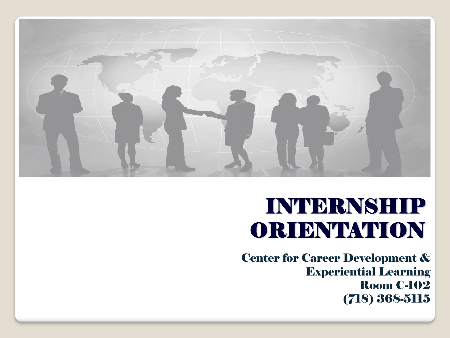

### INTERNSHIP ORIENTATION

Center for Career Development & Experiential Learning Room C-102 (718) 368-5115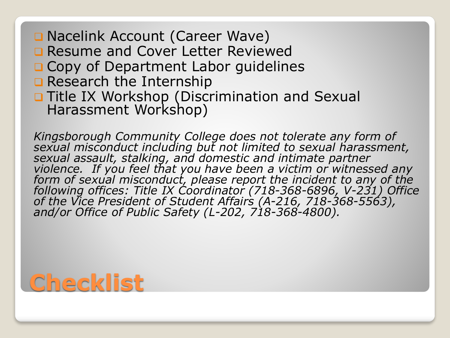- **Q Nacelink Account (Career Wave)**
- **Q Resume and Cover Letter Reviewed**
- O Copy of Department Labor guidelines
- Research the Internship
- **Q Title IX Workshop (Discrimination and Sexual** Harassment Workshop)

*Kingsborough Community College does not tolerate any form of sexual misconduct including but not limited to sexual harassment,*  sexual assault, stalking, and domestic and intimate partner *violence. If you feel that you have been a victim or witnessed any form of sexual misconduct, please report the incident to any of the following offices: Title IX Coordinator (718-368-6896, V-231) Office of the Vice President of Student Affairs (A-216, 718-368-5563), and/or Office of Public Safety (L-202, 718-368-4800).*

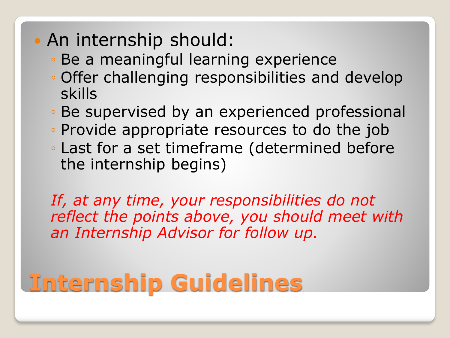- An internship should:
	- Be a meaningful learning experience
	- Offer challenging responsibilities and develop skills
	- Be supervised by an experienced professional
	- Provide appropriate resources to do the job
	- Last for a set timeframe (determined before the internship begins)

*If, at any time, your responsibilities do not reflect the points above, you should meet with an Internship Advisor for follow up.*

# **Internship Guidelines**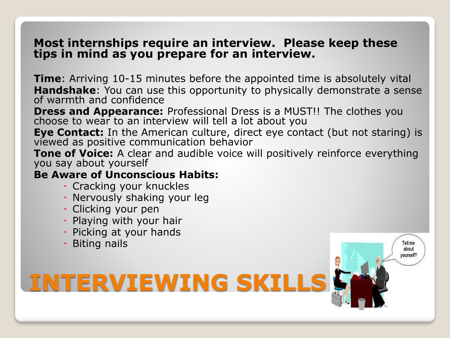#### **Most internships require an interview. Please keep these tips in mind as you prepare for an interview.**

**Time**: Arriving 10-15 minutes before the appointed time is absolutely vital **Handshake**: You can use this opportunity to physically demonstrate a sense of warmth and confidence

**Dress and Appearance:** Professional Dress is a MUST!! The clothes you choose to wear to an interview will tell a lot about you

**Eye Contact:** In the American culture, direct eye contact (but not staring) is viewed as positive communication behavior

**Tone of Voice:** A clear and audible voice will positively reinforce everything you say about yourself

> Tell me about /ourself

#### **Be Aware of Unconscious Habits:**

- Cracking your knuckles
- Nervously shaking your leg

**INTERVIEWING SKILLS**

- Clicking your pen
- Playing with your hair
- Picking at your hands
- Biting nails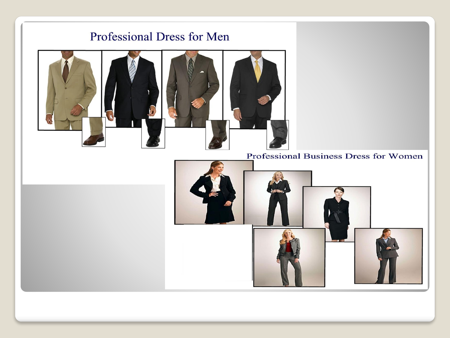#### Professional Dress for Men



Professional Business Dress for Women

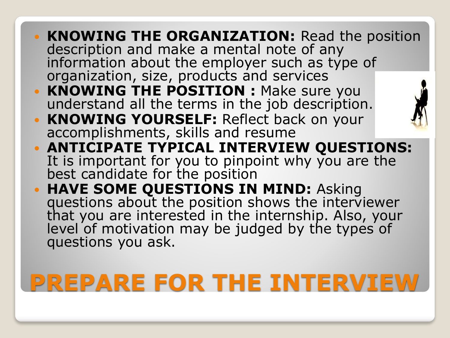- **KNOWING THE ORGANIZATION:** Read the position description and make a mental note of any information about the employer such as type of organization, size, products and services
- **KNOWING THE POSITION : Make sure you** understand all the terms in the job description.
- **KNOWING YOURSELF:** Reflect back on your accomplishments, skills and resume



- **ANTICIPATE TYPICAL INTERVIEW QUESTIONS:**  It is important for you to pinpoint why you are the best candidate for the position
- **· HAVE SOME QUESTIONS IN MIND: Asking** questions about the position shows the interviewer that you are interested in the internship. Also, your level of motivation may be judged by the types of questions you ask.

## **PREPARE FOR THE INTERVIEW**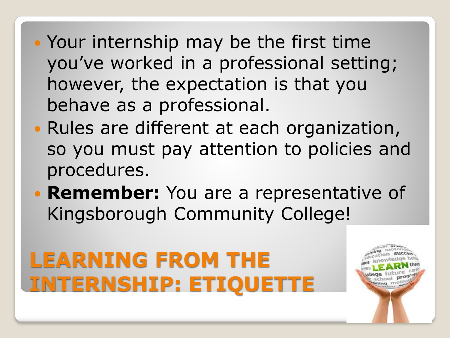- Your internship may be the first time you've worked in a professional setting; however, the expectation is that you behave as a professional.
- Rules are different at each organization, so you must pay attention to policies and procedures.
- **Remember:** You are a representative of Kingsborough Community College!

# **LEARNING FROM THE INTERNSHIP: ETIQUETTE**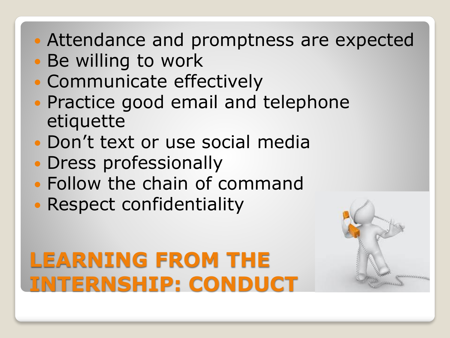- Attendance and promptness are expected
- Be willing to work
- Communicate effectively
- Practice good email and telephone etiquette
- Don't text or use social media
- Dress professionally
- Follow the chain of command
- Respect confidentiality

### **LEARNING FROM THE INTERNSHIP: CONDUCT**

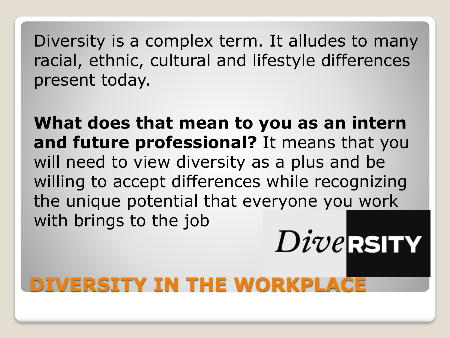Diversity is a complex term. It alludes to many racial, ethnic, cultural and lifestyle differences present today.

**What does that mean to you as an intern and future professional?** It means that you will need to view diversity as a plus and be willing to accept differences while recognizing the unique potential that everyone you work with brings to the job

 $Dive$ RSITY

### **DIVERSITY IN THE WORKPLACE**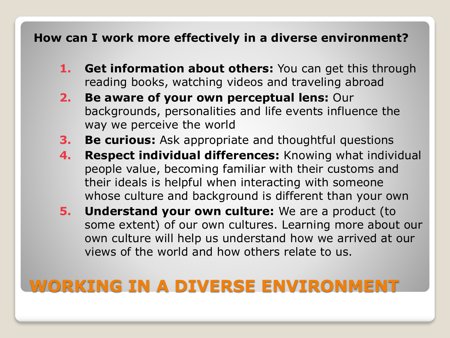#### **How can I work more effectively in a diverse environment?**

- **1. Get information about others:** You can get this through reading books, watching videos and traveling abroad
- **2. Be aware of your own perceptual lens:** Our backgrounds, personalities and life events influence the way we perceive the world
- **3. Be curious:** Ask appropriate and thoughtful questions
- **4. Respect individual differences:** Knowing what individual people value, becoming familiar with their customs and their ideals is helpful when interacting with someone whose culture and background is different than your own
- **5. Understand your own culture:** We are a product (to some extent) of our own cultures. Learning more about our own culture will help us understand how we arrived at our views of the world and how others relate to us.

### **WORKING IN A DIVERSE ENVIRONMENT**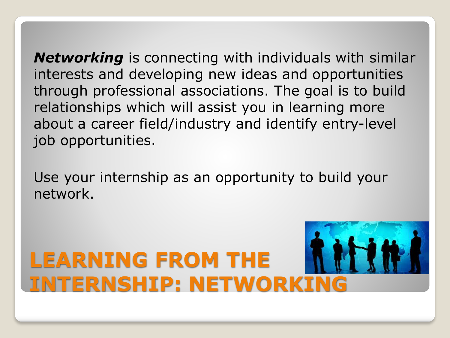*Networking* is connecting with individuals with similar interests and developing new ideas and opportunities through professional associations. The goal is to build relationships which will assist you in learning more about a career field/industry and identify entry-level job opportunities.

Use your internship as an opportunity to build your network.

# **LEARNING FROM THE INTERNSHIP: NETWORKI**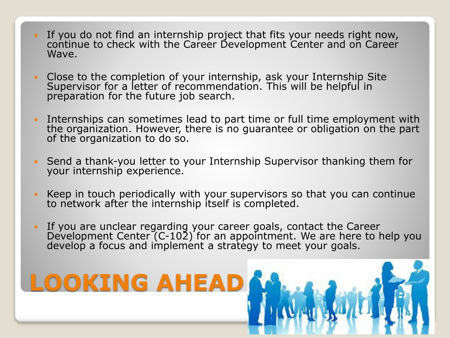- If you do not find an internship project that fits your needs right now, continue to check with the Career Development Center and on Career Wave.
- Close to the completion of your internship, ask your Internship Site Supervisor for a letter of recommendation. This will be helpful in preparation for the future job search.
- Internships can sometimes lead to part time or full time employment with the organization. However, there is no guarantee or obligation on the part of the organization to do so.
- Send a thank-you letter to your Internship Supervisor thanking them for your internship experience.
- Keep in touch periodically with your supervisors so that you can continue to network after the internship itself is completed.
- If you are unclear regarding your career goals, contact the Career Development Center (C-102) for an appointment. We are here to help you develop a focus and implement a strategy to meet your goals.

**LOOKING AHEA**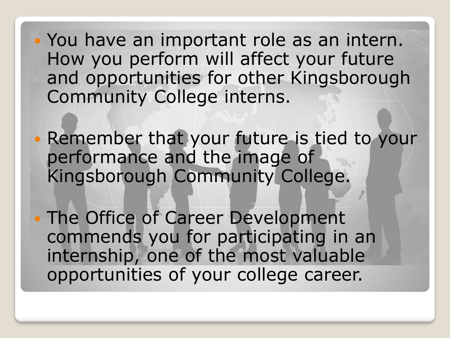You have an important role as an intern. How you perform will affect your future and opportunities for other Kingsborough Community College interns.

 Remember that your future is tied to your performance and the image of Kingsborough Community College.

 The Office of Career Development commends you for participating in an internship, one of the most valuable opportunities of your college career.